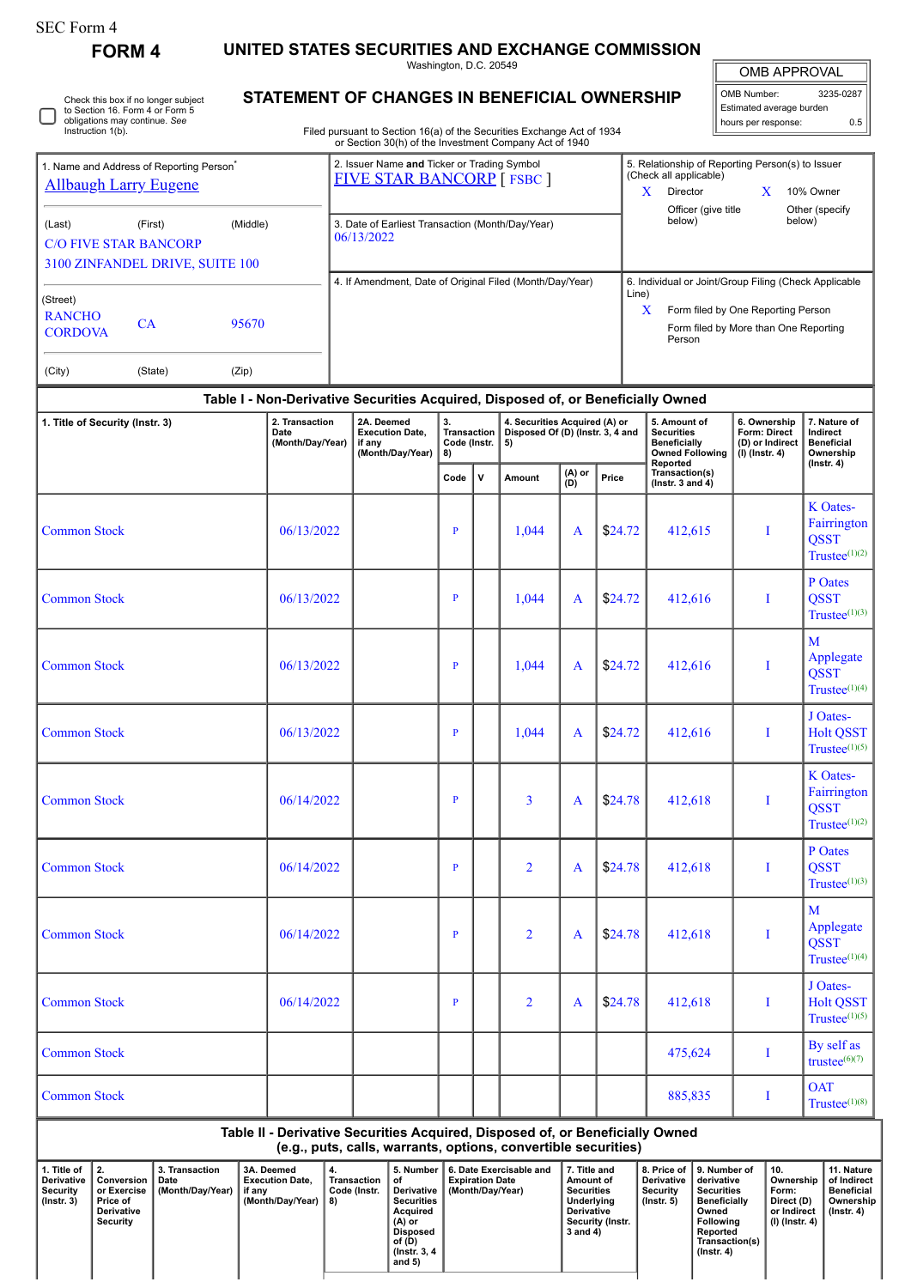0

Check this box if no longer subject to Section 16. Form 4 or Form 5 obligations may continue. *See* Instruction 1(b).

**FORM 4 UNITED STATES SECURITIES AND EXCHANGE COMMISSION**

Washington, D.C. 20549

| OMB APPROVAL |
|--------------|
|              |

| Washington, D.C. 20549                                                                                                           |                                                  | <b>OMB APPROVAL</b>                   |
|----------------------------------------------------------------------------------------------------------------------------------|--------------------------------------------------|---------------------------------------|
| <b>STATEMENT OF CHANGES IN BENEFICIAL OWNERSHIP</b>                                                                              | l OMB Number:                                    | 3235-0287<br>Estimated average burden |
| Filed pursuant to Section 16(a) of the Securities Exchange Act of 1934<br>or Section 30(h) of the Investment Company Act of 1940 | hours per response:                              | 0.5                                   |
| 2. Issuer Name and Ticker or Trading Symbol                                                                                      | 5. Relationship of Reporting Person(s) to Issuer |                                       |

| 1. Name and Address of Reporting Person <sup>®</sup><br><b>Allbaugh Larry Eugene</b> |                                            |          | 2. Issuer Name and Ticker or Trading Symbol<br><b>FIVE STAR BANCORP</b> [FSBC ] | X          | 5. Relationship of Reporting Person(s) to Issuer<br>(Check all applicable)<br>Director | 10% Owner |                                                                                                |  |
|--------------------------------------------------------------------------------------|--------------------------------------------|----------|---------------------------------------------------------------------------------|------------|----------------------------------------------------------------------------------------|-----------|------------------------------------------------------------------------------------------------|--|
| (Last)<br><b>C/O FIVE STAR BANCORP</b>                                               | (First)<br>3100 ZINFANDEL DRIVE, SUITE 100 | (Middle) | 3. Date of Earliest Transaction (Month/Day/Year)<br>06/13/2022                  |            | Officer (give title<br>below)                                                          |           | Other (specify<br>below)                                                                       |  |
| (Street)<br><b>RANCHO</b><br><b>CORDOVA</b>                                          | <b>CA</b>                                  | 95670    | 4. If Amendment, Date of Original Filed (Month/Day/Year)                        | Line)<br>X | Form filed by One Reporting Person<br>Person                                           |           | 6. Individual or Joint/Group Filing (Check Applicable<br>Form filed by More than One Reporting |  |
| (City)                                                                               | (State)                                    | (Zip)    |                                                                                 |            |                                                                                        |           |                                                                                                |  |

| Table I - Non-Derivative Securities Acquired, Disposed of, or Beneficially Owned |  |
|----------------------------------------------------------------------------------|--|

| 1. Title of Security (Instr. 3) | 2. Transaction<br>Date<br>(Month/Day/Year) | 2A. Deemed<br><b>Execution Date,</b><br>if any<br>(Month/Day/Year) | 3.<br><b>Transaction</b><br>Code (Instr.<br>8) |              | 4. Securities Acquired (A) or<br>Disposed Of (D) (Instr. 3, 4 and<br>5) |                   |         | 5. Amount of<br><b>Securities</b><br><b>Beneficially</b><br><b>Owned Following</b> | 6. Ownership<br>Form: Direct<br>(D) or Indirect<br>$(I)$ (Instr. 4) | 7. Nature of<br>Indirect<br><b>Beneficial</b><br>Ownership          |  |
|---------------------------------|--------------------------------------------|--------------------------------------------------------------------|------------------------------------------------|--------------|-------------------------------------------------------------------------|-------------------|---------|------------------------------------------------------------------------------------|---------------------------------------------------------------------|---------------------------------------------------------------------|--|
|                                 |                                            |                                                                    | Code                                           | $\mathsf{v}$ | Amount                                                                  | $(A)$ or<br>$(D)$ | Price   | Reported<br>Transaction(s)<br>(Instr. 3 and $4$ )                                  |                                                                     | (Instr. 4)                                                          |  |
| <b>Common Stock</b>             | 06/13/2022                                 |                                                                    | $\mathbf{P}$                                   |              | 1,044                                                                   | $\mathbf{A}$      | \$24.72 | 412,615                                                                            | $\bf{I}$                                                            | <b>K</b> Oates-<br>Fairrington<br><b>QSST</b><br>$Trustee^{(1)(2)}$ |  |
| <b>Common Stock</b>             | 06/13/2022                                 |                                                                    | $\overline{P}$                                 |              | 1,044                                                                   | A                 | \$24.72 | 412,616                                                                            | $\mathbf I$                                                         | P Oates<br><b>QSST</b><br>Trustee $(1)(3)$                          |  |
| <b>Common Stock</b>             | 06/13/2022                                 |                                                                    | $\mathbf{P}$                                   |              | 1,044                                                                   | A                 | \$24.72 | 412,616                                                                            | $\bf{I}$                                                            | $\mathbf{M}$<br>Applegate<br><b>QSST</b><br>$Trustee^{(1)(4)}$      |  |
| <b>Common Stock</b>             | 06/13/2022                                 |                                                                    | $\mathbf{P}$                                   |              | 1,044                                                                   | A                 | \$24.72 | 412,616                                                                            | I                                                                   | J Oates-<br><b>Holt QSST</b><br>$Trustee^{(1)(5)}$                  |  |
| <b>Common Stock</b>             | 06/14/2022                                 |                                                                    | $\mathbf{P}$                                   |              | $\overline{3}$                                                          | A                 | \$24.78 | 412,618                                                                            | $\bf{I}$                                                            | K Oates-<br>Fairrington<br><b>QSST</b><br>Trustee $(1)(2)$          |  |
| <b>Common Stock</b>             | 06/14/2022                                 |                                                                    | P                                              |              | $\overline{2}$                                                          | A                 | \$24.78 | 412,618                                                                            | I                                                                   | P Oates<br><b>QSST</b><br>$Trustee^{(1)(3)}$                        |  |
| <b>Common Stock</b>             | 06/14/2022                                 |                                                                    | $\mathbf{P}$                                   |              | $\overline{2}$                                                          | $\mathbf{A}$      | \$24.78 | 412,618                                                                            | I                                                                   | M<br>Applegate<br><b>QSST</b><br>Trustee $(1)(4)$                   |  |
| <b>Common Stock</b>             | 06/14/2022                                 |                                                                    | P                                              |              | $\overline{2}$                                                          | A                 | \$24.78 | 412,618                                                                            | I                                                                   | J Oates-<br><b>Holt QSST</b><br>Trustee $(1)(5)$                    |  |
| <b>Common Stock</b>             |                                            |                                                                    |                                                |              |                                                                         |                   |         | 475,624                                                                            | $\mathbf I$                                                         | By self as<br>trustee $^{(6)(7)}$                                   |  |
| <b>Common Stock</b>             |                                            |                                                                    |                                                |              |                                                                         |                   |         | 885,835                                                                            | I                                                                   | <b>OAT</b><br>$Trustee^{(1)(8)}$                                    |  |

**Table II - Derivative Securities Acquired, Disposed of, or Beneficially Owned (e.g., puts, calls, warrants, options, convertible securities)**

| . Title of<br><b>Derivative</b><br>Security<br>$($ lnstr. 3 $)$ | Conversion<br>or Exercise<br>Price of<br>Derivative<br>Security | 3. Transaction<br>Date<br>(Month/Day/Year) | 3A. Deemed<br><b>Execution Date.</b><br>if anv<br>(Month/Dav/Year) | Transaction<br>Code (Instr.<br>8) | 5. Number 1<br>οt<br>Derivative  <br><b>Securities</b><br>Acauired<br>(A) or<br>Disposed<br>of (D)<br>(Instr. 3, 4)<br>and 5) | 6. Date Exercisable and<br><b>Expiration Date</b><br>(Month/Dav/Year) | 7. Title and<br>Amount of<br><b>Securities</b><br>Underlying<br><b>Derivative</b><br>Security (Instr.<br>3 and 4) | 8. Price of<br><b>Derivative</b><br>Security<br>(Instr. 5) | 9. Number of<br>derivative<br><b>Securities</b><br><b>Beneficially</b><br>Owned<br>Following<br>Reported<br>Transaction(s)<br>$($ Instr. 4 $)$ | $^{\circ}$ 10.<br>Ownership<br>Form:<br>Direct (D)<br>or Indirect<br>(I) (Instr. 4) | 11. Nature<br>of Indirect<br><b>Beneficial</b><br>Ownership<br>$($ lnstr. 4 $)$ |  |
|-----------------------------------------------------------------|-----------------------------------------------------------------|--------------------------------------------|--------------------------------------------------------------------|-----------------------------------|-------------------------------------------------------------------------------------------------------------------------------|-----------------------------------------------------------------------|-------------------------------------------------------------------------------------------------------------------|------------------------------------------------------------|------------------------------------------------------------------------------------------------------------------------------------------------|-------------------------------------------------------------------------------------|---------------------------------------------------------------------------------|--|
|-----------------------------------------------------------------|-----------------------------------------------------------------|--------------------------------------------|--------------------------------------------------------------------|-----------------------------------|-------------------------------------------------------------------------------------------------------------------------------|-----------------------------------------------------------------------|-------------------------------------------------------------------------------------------------------------------|------------------------------------------------------------|------------------------------------------------------------------------------------------------------------------------------------------------|-------------------------------------------------------------------------------------|---------------------------------------------------------------------------------|--|